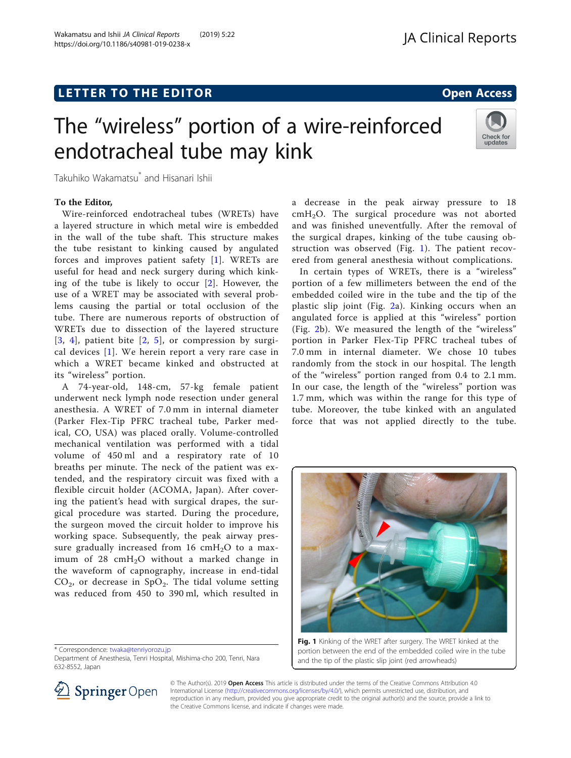## L E T T ER TOR OPEN A T T ER TOR OPEN A T T ER TOR OPEN A T T ER TOR OPEN A T T ER TOR OPEN A T T ER TOR OPEN <br>A comparative and the comparative and the comparative and the comparative and the comparative and the comparat

# The "wireless" portion of a wire-reinforced endotracheal tube may kink



Takuhiko Wakamatsu\* and Hisanari Ishii

#### To the Editor,

Wire-reinforced endotracheal tubes (WRETs) have a layered structure in which metal wire is embedded in the wall of the tube shaft. This structure makes the tube resistant to kinking caused by angulated forces and improves patient safety [\[1](#page-1-0)]. WRETs are useful for head and neck surgery during which kinking of the tube is likely to occur [[2\]](#page-1-0). However, the use of a WRET may be associated with several problems causing the partial or total occlusion of the tube. There are numerous reports of obstruction of WRETs due to dissection of the layered structure  $[3, 4]$  $[3, 4]$  $[3, 4]$  $[3, 4]$ , patient bite  $[2, 5]$  $[2, 5]$  $[2, 5]$  $[2, 5]$ , or compression by surgical devices [[1\]](#page-1-0). We herein report a very rare case in which a WRET became kinked and obstructed at its "wireless" portion.

A 74-year-old, 148-cm, 57-kg female patient underwent neck lymph node resection under general anesthesia. A WRET of 7.0 mm in internal diameter (Parker Flex-Tip PFRC tracheal tube, Parker medical, CO, USA) was placed orally. Volume-controlled mechanical ventilation was performed with a tidal volume of 450 ml and a respiratory rate of 10 breaths per minute. The neck of the patient was extended, and the respiratory circuit was fixed with a flexible circuit holder (ACOMA, Japan). After covering the patient's head with surgical drapes, the surgical procedure was started. During the procedure, the surgeon moved the circuit holder to improve his working space. Subsequently, the peak airway pressure gradually increased from 16  $cmH<sub>2</sub>O$  to a maximum of  $28 \text{ cm}H_2O$  without a marked change in the waveform of capnography, increase in end-tidal  $CO<sub>2</sub>$ , or decrease in SpO<sub>2</sub>. The tidal volume setting was reduced from 450 to 390 ml, which resulted in

\* Correspondence: [twaka@tenriyorozu.jp](mailto:twaka@tenriyorozu.jp)

Department of Anesthesia, Tenri Hospital, Mishima-cho 200, Tenri, Nara 632-8552, Japan



In certain types of WRETs, there is a "wireless" portion of a few millimeters between the end of the embedded coiled wire in the tube and the tip of the plastic slip joint (Fig. [2](#page-1-0)a). Kinking occurs when an angulated force is applied at this "wireless" portion (Fig. [2b](#page-1-0)). We measured the length of the "wireless" portion in Parker Flex-Tip PFRC tracheal tubes of 7.0 mm in internal diameter. We chose 10 tubes randomly from the stock in our hospital. The length of the "wireless" portion ranged from 0.4 to 2.1 mm. In our case, the length of the "wireless" portion was 1.7 mm, which was within the range for this type of tube. Moreover, the tube kinked with an angulated force that was not applied directly to the tube.



Fig. 1 Kinking of the WRET after surgery. The WRET kinked at the portion between the end of the embedded coiled wire in the tube and the tip of the plastic slip joint (red arrowheads)



© The Author(s). 2019 Open Access This article is distributed under the terms of the Creative Commons Attribution 4.0 International License ([http://creativecommons.org/licenses/by/4.0/\)](http://creativecommons.org/licenses/by/4.0/), which permits unrestricted use, distribution, and reproduction in any medium, provided you give appropriate credit to the original author(s) and the source, provide a link to the Creative Commons license, and indicate if changes were made.